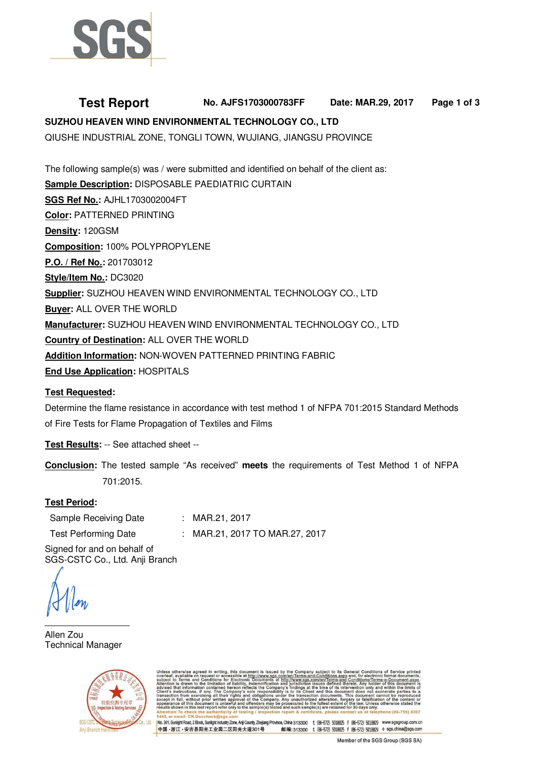

# **Test Report No. AJFS1703000783FF Date: MAR.29, 2017 Page 1 of 3 SUZHOU HEAVEN WIND ENVIRONMENTAL TECHNOLOGY CO., LTD**

QIUSHE INDUSTRIAL ZONE, TONGLI TOWN, WUJIANG, JIANGSU PROVINCE

The following sample(s) was / were submitted and identified on behalf of the client as: **Sample Description:** DISPOSABLE PAEDIATRIC CURTAIN **SGS Ref No.:** AJHL1703002004FT **Color:** PATTERNED PRINTING **Density:** 120GSM **Composition:** 100% POLYPROPYLENE **P.O. / Ref No.:** 201703012 **Style/Item No.:** DC3020 **Supplier:** SUZHOU HEAVEN WIND ENVIRONMENTAL TECHNOLOGY CO., LTD **Buyer:** ALL OVER THE WORLD **Manufacturer:** SUZHOU HEAVEN WIND ENVIRONMENTAL TECHNOLOGY CO., LTD **Country of Destination:** ALL OVER THE WORLD **Addition Information:** NON-WOVEN PATTERNED PRINTING FABRIC **End Use Application:** HOSPITALS

# **Test Requested:**

Determine the flame resistance in accordance with test method 1 of NFPA 701:2015 Standard Methods of Fire Tests for Flame Propagation of Textiles and Films

**Test Results:** -- See attached sheet --

**Conclusion:** The tested sample "As received" **meets** the requirements of Test Method 1 of NFPA 701:2015.

# **Test Period:**

| Sample Receiving Date       | : MAR.21, 2017                 |
|-----------------------------|--------------------------------|
| <b>Test Performing Date</b> | : MAR.21, 2017 TO MAR.27, 2017 |

Signed for and on behalf of SGS-CSTC Co., Ltd. Anji Branch

Allen Zou Technical Manager



ubject to its General Conditions<br>Conditions.aspx and, for electronia<br>Nep/Terms.and.Conditions/Terms ng, this document is issued by<br>ccessible at <u>http://www.sgs.com</u><br>for Electronic Documents at <u>htt</u>j

No. 301, Sunlight Road, 2 Block, Sunlight Industry Zone, Anji County, Zhejiang Province, China 313300 t (86-572) 5018825 f (86-572) 5018829 www.sgsgroup.com.cn 中国·浙江·安吉县阳光工业园二区阳光大道301号 邮编:313300 t (86-572) 5018825 f (86-572) 5018829 e sgs.china@sgs.com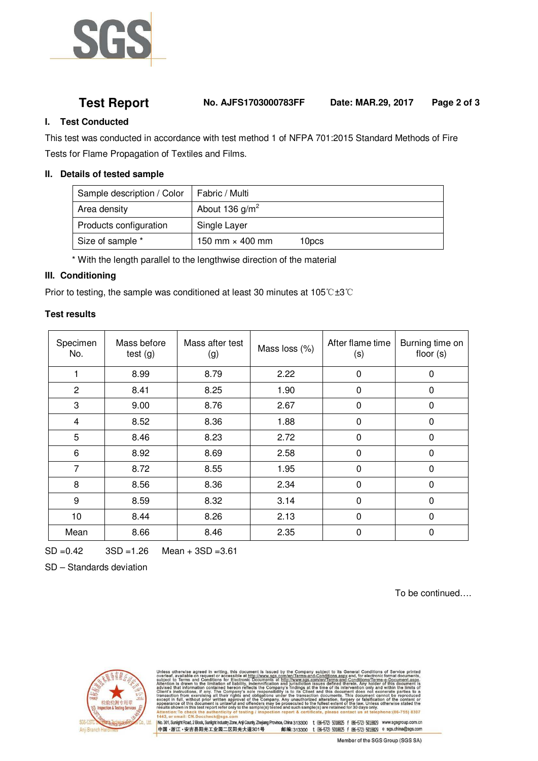

**Test Report No. AJFS1703000783FF Date: MAR.29, 2017 Page 2 of 3**

### **I. Test Conducted**

This test was conducted in accordance with test method 1 of NFPA 701:2015 Standard Methods of Fire Tests for Flame Propagation of Textiles and Films.

#### **II. Details of tested sample**

| Sample description / Color | Fabric / Multi         |       |
|----------------------------|------------------------|-------|
| Area density               | About 136 $g/m2$       |       |
| Products configuration     | Single Layer           |       |
| Size of sample *           | 150 mm $\times$ 400 mm | 10pcs |

\* With the length parallel to the lengthwise direction of the material

### **III. Conditioning**

Prior to testing, the sample was conditioned at least 30 minutes at 105℃±3℃

### **Test results**

| Specimen<br>No. | Mass before<br>test(g) | Mass after test<br>$\left( 9\right)$ | Mass loss (%) | After flame time<br>(s) | Burning time on<br>floor $(s)$ |
|-----------------|------------------------|--------------------------------------|---------------|-------------------------|--------------------------------|
| 1               | 8.99                   | 8.79                                 | 2.22          | $\mathbf 0$             | 0                              |
| $\overline{c}$  | 8.41                   | 8.25                                 | 1.90          | 0                       | 0                              |
| 3               | 9.00                   | 8.76                                 | 2.67          | 0                       | 0                              |
| 4               | 8.52                   | 8.36                                 | 1.88          | 0                       | 0                              |
| 5               | 8.46                   | 8.23                                 | 2.72          | 0                       | 0                              |
| 6               | 8.92                   | 8.69                                 | 2.58          | $\Omega$                | 0                              |
| 7               | 8.72                   | 8.55                                 | 1.95          | $\Omega$                | 0                              |
| 8               | 8.56                   | 8.36                                 | 2.34          | $\Omega$                | 0                              |
| 9               | 8.59                   | 8.32                                 | 3.14          | $\Omega$                | 0                              |
| 10              | 8.44                   | 8.26                                 | 2.13          | $\mathbf{0}$            | 0                              |
| Mean            | 8.66                   | 8.46                                 | 2.35          | 0                       | 0                              |

SD =0.42 3SD =1.26 Mean + 3SD =3.61

SD – Standards deviation

To be continued….



subject to its General Conditions of School<br>-Conditions.aspx and, for electronic form<br>m/en/Terms-and-Conditions/Terms-e-D<br>sues defined therein, Any holder of thi ng, this document is issued by the<br>accessible at http://www.sgs.com/<br>for Electronic Documents at http ne of it:<br>thin di nauthorized alteration, forgery or falsi<br>:uted to the fullest extent of the law. Ur<br>uch sample(s) are retained for 30 davs o hono:/06.755\ 0707

|No.301;SunlightRoad,2Block,SunlightIndushyZone,AnjiCounty,Zhejiang Province,China 313300 t (86-572) 5018825 f (86-572) 5018829 www.sgsgroup.com.cn<br>|中国 -浙江 - 安吉县阳光工业园二区阳光大道301号 邮编:313300 t (86-572) 5018825 邮编:313300 t (86-572) 5018825 f (86-572) 5018829 e sgs.china@sgs.com